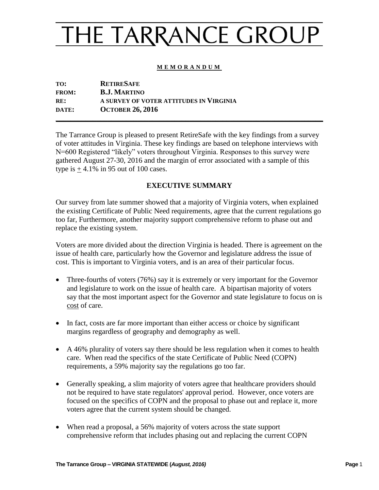#### **M E M O R A N D U M**

| TO:          | <b>RETIRESAFE</b>                       |
|--------------|-----------------------------------------|
| <b>FROM:</b> | <b>B.J. MARTINO</b>                     |
| RE:          | A SURVEY OF VOTER ATTITUDES IN VIRGINIA |
| DATE:        | <b>OCTOBER 26, 2016</b>                 |
|              |                                         |

The Tarrance Group is pleased to present RetireSafe with the key findings from a survey of voter attitudes in Virginia. These key findings are based on telephone interviews with N=600 Registered "likely" voters throughout Virginia. Responses to this survey were gathered August 27-30, 2016 and the margin of error associated with a sample of this type is  $+4.1\%$  in 95 out of 100 cases.

#### **EXECUTIVE SUMMARY**

Our survey from late summer showed that a majority of Virginia voters, when explained the existing Certificate of Public Need requirements, agree that the current regulations go too far, Furthermore, another majority support comprehensive reform to phase out and replace the existing system.

Voters are more divided about the direction Virginia is headed. There is agreement on the issue of health care, particularly how the Governor and legislature address the issue of cost. This is important to Virginia voters, and is an area of their particular focus.

- Three-fourths of voters (76%) say it is extremely or very important for the Governor and legislature to work on the issue of health care. A bipartisan majority of voters say that the most important aspect for the Governor and state legislature to focus on is cost of care.
- In fact, costs are far more important than either access or choice by significant margins regardless of geography and demography as well.
- A 46% plurality of voters say there should be less regulation when it comes to health care. When read the specifics of the state Certificate of Public Need (COPN) requirements, a 59% majority say the regulations go too far.
- Generally speaking, a slim majority of voters agree that healthcare providers should not be required to have state regulators' approval period. However, once voters are focused on the specifics of COPN and the proposal to phase out and replace it, more voters agree that the current system should be changed.
- When read a proposal, a 56% majority of voters across the state support comprehensive reform that includes phasing out and replacing the current COPN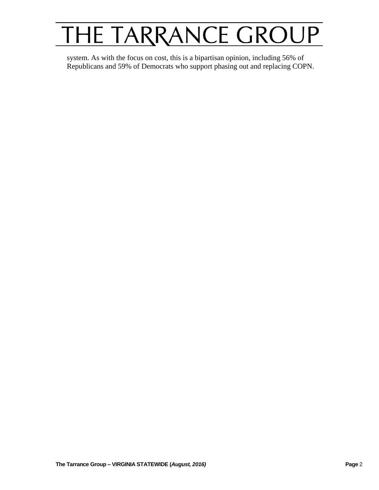system. As with the focus on cost, this is a bipartisan opinion, including 56% of Republicans and 59% of Democrats who support phasing out and replacing COPN.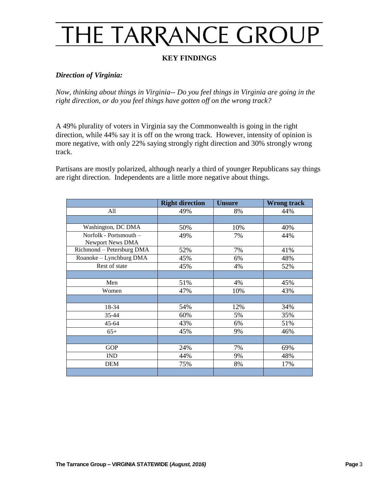### **KEY FINDINGS**

#### *Direction of Virginia:*

*Now, thinking about things in Virginia-- Do you feel things in Virginia are going in the right direction, or do you feel things have gotten off on the wrong track?*

A 49% plurality of voters in Virginia say the Commonwealth is going in the right direction, while 44% say it is off on the wrong track. However, intensity of opinion is more negative, with only 22% saying strongly right direction and 30% strongly wrong track.

Partisans are mostly polarized, although nearly a third of younger Republicans say things are right direction. Independents are a little more negative about things.

|                           | <b>Right direction</b> | <b>Unsure</b> | <b>Wrong track</b> |
|---------------------------|------------------------|---------------|--------------------|
| All                       | 49%                    | 8%            | 44%                |
|                           |                        |               |                    |
| Washington, DC DMA        | 50%                    | 10%           | 40%                |
| Norfolk - Portsmouth -    | 49%                    | 7%            | 44%                |
| Newport News DMA          |                        |               |                    |
| Richmond - Petersburg DMA | 52%                    | 7%            | 41%                |
| Roanoke - Lynchburg DMA   | 45%                    | 6%            | 48%                |
| Rest of state             | 45%                    | 4%            | 52%                |
|                           |                        |               |                    |
| Men                       | 51%                    | 4%            | 45%                |
| Women                     | 47%                    | 10%           | 43%                |
|                           |                        |               |                    |
| 18-34                     | 54%                    | 12%           | 34%                |
| 35-44                     | 60%                    | 5%            | 35%                |
| 45-64                     | 43%                    | 6%            | 51%                |
| $65+$                     | 45%                    | 9%            | 46%                |
|                           |                        |               |                    |
| <b>GOP</b>                | 24%                    | 7%            | 69%                |
| <b>IND</b>                | 44%                    | 9%            | 48%                |
| <b>DEM</b>                | 75%                    | 8%            | 17%                |
|                           |                        |               |                    |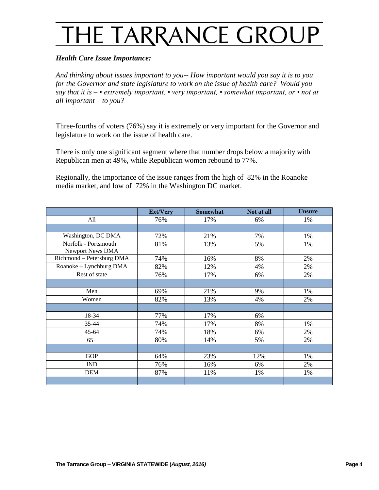#### *Health Care Issue Importance:*

*And thinking about issues important to you-- How important would you say it is to you for the Governor and state legislature to work on the issue of health care? Would you say that it is – • extremely important, • very important, • somewhat important, or • not at all important – to you?*

Three-fourths of voters (76%) say it is extremely or very important for the Governor and legislature to work on the issue of health care.

There is only one significant segment where that number drops below a majority with Republican men at 49%, while Republican women rebound to 77%.

Regionally, the importance of the issue ranges from the high of 82% in the Roanoke media market, and low of 72% in the Washington DC market.

|                                            | <b>Ext/Very</b> | <b>Somewhat</b> | Not at all | <b>Unsure</b> |
|--------------------------------------------|-----------------|-----------------|------------|---------------|
| All                                        | 76%             | 17%             | 6%         | 1%            |
|                                            |                 |                 |            |               |
| Washington, DC DMA                         | 72%             | 21%             | 7%         | 1%            |
| Norfolk - Portsmouth -<br>Newport News DMA | 81%             | 13%             | 5%         | 1%            |
| Richmond - Petersburg DMA                  | 74%             | 16%             | 8%         | 2%            |
| Roanoke - Lynchburg DMA                    | 82%             | 12%             | 4%         | 2%            |
| Rest of state                              | 76%             | 17%             | 6%         | 2%            |
|                                            |                 |                 |            |               |
| Men                                        | 69%             | 21%             | 9%         | 1%            |
| Women                                      | 82%             | 13%             | 4%         | 2%            |
|                                            |                 |                 |            |               |
| 18-34                                      | 77%             | 17%             | 6%         |               |
| 35-44                                      | 74%             | 17%             | 8%         | 1%            |
| $45 - 64$                                  | 74%             | 18%             | 6%         | 2%            |
| $65+$                                      | 80%             | 14%             | 5%         | 2%            |
|                                            |                 |                 |            |               |
| <b>GOP</b>                                 | 64%             | 23%             | 12%        | 1%            |
| <b>IND</b>                                 | 76%             | 16%             | 6%         | 2%            |
| <b>DEM</b>                                 | 87%             | 11%             | 1%         | 1%            |
|                                            |                 |                 |            |               |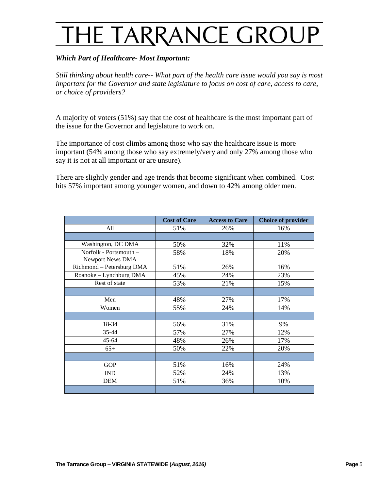### *Which Part of Healthcare- Most Important:*

*Still thinking about health care-- What part of the health care issue would you say is most important for the Governor and state legislature to focus on cost of care, access to care, or choice of providers?*

A majority of voters (51%) say that the cost of healthcare is the most important part of the issue for the Governor and legislature to work on.

The importance of cost climbs among those who say the healthcare issue is more important (54% among those who say extremely/very and only 27% among those who say it is not at all important or are unsure).

There are slightly gender and age trends that become significant when combined. Cost hits 57% important among younger women, and down to 42% among older men.

|                                            | <b>Cost of Care</b> | <b>Access to Care</b> | <b>Choice of provider</b> |
|--------------------------------------------|---------------------|-----------------------|---------------------------|
| All                                        | 51%                 | 26%                   | 16%                       |
|                                            |                     |                       |                           |
| Washington, DC DMA                         | 50%                 | 32%                   | 11%                       |
| Norfolk - Portsmouth -<br>Newport News DMA | 58%                 | 18%                   | 20%                       |
| Richmond - Petersburg DMA                  | 51%                 | 26%                   | 16%                       |
| Roanoke - Lynchburg DMA                    | 45%                 | 24%                   | 23%                       |
| Rest of state                              | 53%                 | 21%                   | 15%                       |
|                                            |                     |                       |                           |
| Men                                        | 48%                 | 27%                   | 17%                       |
| Women                                      | 55%                 | 24%                   | 14%                       |
|                                            |                     |                       |                           |
| 18-34                                      | 56%                 | 31%                   | 9%                        |
| 35-44                                      | 57%                 | 27%                   | 12%                       |
| 45-64                                      | 48%                 | 26%                   | 17%                       |
| $65+$                                      | 50%                 | 22%                   | 20%                       |
|                                            |                     |                       |                           |
| <b>GOP</b>                                 | 51%                 | 16%                   | 24%                       |
| <b>IND</b>                                 | 52%                 | 24%                   | 13%                       |
| <b>DEM</b>                                 | 51%                 | 36%                   | 10%                       |
|                                            |                     |                       |                           |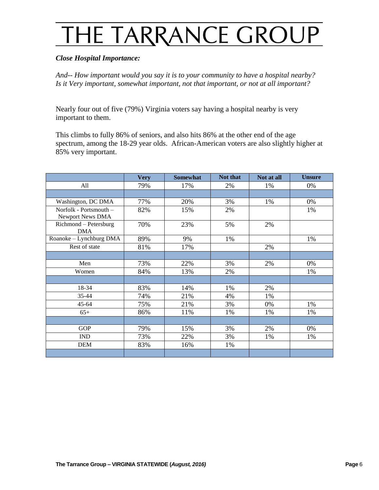#### *Close Hospital Importance:*

*And-- How important would you say it is to your community to have a hospital nearby? Is it Very important, somewhat important, not that important, or not at all important?*

Nearly four out of five (79%) Virginia voters say having a hospital nearby is very important to them.

This climbs to fully 86% of seniors, and also hits 86% at the other end of the age spectrum, among the 18-29 year olds. African-American voters are also slightly higher at 85% very important.

|                         | <b>Very</b> | <b>Somewhat</b> | Not that | Not at all | <b>Unsure</b> |
|-------------------------|-------------|-----------------|----------|------------|---------------|
| All                     | 79%         | 17%             | 2%       | 1%         | 0%            |
|                         |             |                 |          |            |               |
| Washington, DC DMA      | 77%         | 20%             | 3%       | 1%         | 0%            |
| Norfolk - Portsmouth -  | 82%         | 15%             | 2%       |            | 1%            |
| Newport News DMA        |             |                 |          |            |               |
| Richmond - Petersburg   | 70%         | 23%             | 5%       | 2%         |               |
| <b>DMA</b>              |             |                 |          |            |               |
| Roanoke - Lynchburg DMA | 89%         | 9%              | 1%       |            | 1%            |
| Rest of state           | 81%         | 17%             |          | 2%         |               |
|                         |             |                 |          |            |               |
| Men                     | 73%         | 22%             | 3%       | 2%         | 0%            |
| Women                   | 84%         | 13%             | 2%       |            | 1%            |
|                         |             |                 |          |            |               |
| 18-34                   | 83%         | 14%             | 1%       | 2%         |               |
| 35-44                   | 74%         | 21%             | 4%       | 1%         |               |
| $45 - 64$               | 75%         | 21%             | 3%       | 0%         | 1%            |
| $65+$                   | 86%         | 11%             | 1%       | 1%         | 1%            |
|                         |             |                 |          |            |               |
| <b>GOP</b>              | 79%         | 15%             | 3%       | 2%         | 0%            |
| <b>IND</b>              | 73%         | 22%             | 3%       | 1%         | 1%            |
| <b>DEM</b>              | 83%         | 16%             | 1%       |            |               |
|                         |             |                 |          |            |               |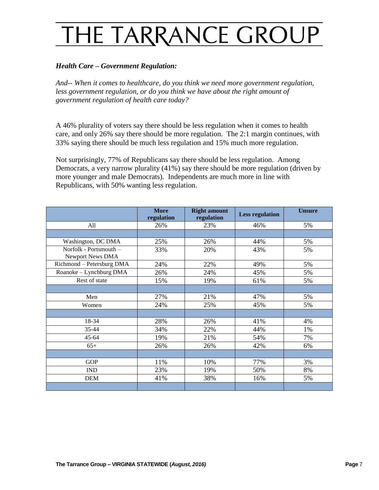#### *Health Care – Government Regulation:*

*And-- When it comes to healthcare, do you think we need more government regulation,*  less government regulation, or do you think we have about the right amount of *government regulation of health care today?*

A 46% plurality of voters say there should be less regulation when it comes to health care, and only 26% say there should be more regulation. The 2:1 margin continues, with 33% saying there should be much less regulation and 15% much more regulation.

Not surprisingly, 77% of Republicans say there should be less regulation. Among Democrats, a very narrow plurality (41%) say there should be more regulation (driven by more younger and male Democrats). Independents are much more in line with Republicans, with 50% wanting less regulation.

|                                            | <b>More</b><br>regulation | <b>Right amount</b><br>regulation | <b>Less regulation</b> | <b>Unsure</b> |
|--------------------------------------------|---------------------------|-----------------------------------|------------------------|---------------|
| All                                        | 26%                       | 23%                               | 46%                    | 5%            |
|                                            |                           |                                   |                        |               |
| Washington, DC DMA                         | 25%                       | 26%                               | 44%                    | 5%            |
| Norfolk - Portsmouth -<br>Newport News DMA | 33%                       | 20%                               | 43%                    | 5%            |
| Richmond - Petersburg DMA                  | 24%                       | 22%                               | 49%                    | 5%            |
| Roanoke - Lynchburg DMA                    | 26%                       | 24%                               | 45%                    | 5%            |
| Rest of state                              | 15%                       | 19%                               | 61%                    | 5%            |
|                                            |                           |                                   |                        |               |
| Men                                        | 27%                       | 21%                               | 47%                    | 5%            |
| Women                                      | 24%                       | 25%                               | 45%                    | 5%            |
|                                            |                           |                                   |                        |               |
| 18-34                                      | 28%                       | 26%                               | 41%                    | 4%            |
| 35-44                                      | 34%                       | 22%                               | 44%                    | 1%            |
| $45 - 64$                                  | 19%                       | 21%                               | 54%                    | 7%            |
| $65+$                                      | 26%                       | 26%                               | 42%                    | 6%            |
|                                            |                           |                                   |                        |               |
| <b>GOP</b>                                 | 11%                       | 10%                               | 77%                    | 3%            |
| <b>IND</b>                                 | 23%                       | 19%                               | 50%                    | 8%            |
| <b>DEM</b>                                 | 41%                       | 38%                               | 16%                    | 5%            |
|                                            |                           |                                   |                        |               |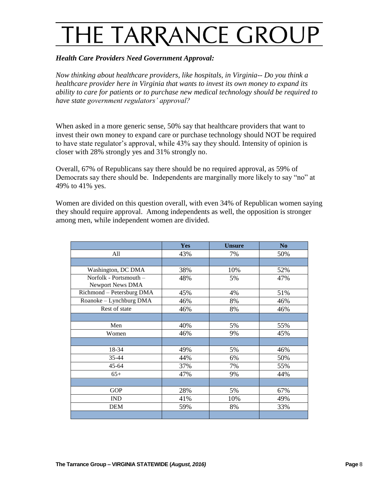### *Health Care Providers Need Government Approval:*

*Now thinking about healthcare providers, like hospitals, in Virginia-- Do you think a healthcare provider here in Virginia that wants to invest its own money to expand its ability to care for patients or to purchase new medical technology should be required to have state government regulators' approval?*

When asked in a more generic sense, 50% say that healthcare providers that want to invest their own money to expand care or purchase technology should NOT be required to have state regulator's approval, while 43% say they should. Intensity of opinion is closer with 28% strongly yes and 31% strongly no.

Overall, 67% of Republicans say there should be no required approval, as 59% of Democrats say there should be. Independents are marginally more likely to say "no" at 49% to 41% yes.

Women are divided on this question overall, with even 34% of Republican women saying they should require approval. Among independents as well, the opposition is stronger among men, while independent women are divided.

|                                                   | <b>Yes</b> | <b>Unsure</b> | N <sub>0</sub> |
|---------------------------------------------------|------------|---------------|----------------|
| All                                               | 43%        | 7%            | 50%            |
|                                                   |            |               |                |
| Washington, DC DMA                                | 38%        | 10%           | 52%            |
| Norfolk - Portsmouth -<br><b>Newport News DMA</b> | 48%        | 5%            | 47%            |
| Richmond - Petersburg DMA                         | 45%        | 4%            | 51%            |
| Roanoke - Lynchburg DMA                           | 46%        | 8%            | 46%            |
| Rest of state                                     | 46%        | 8%            | 46%            |
|                                                   |            |               |                |
| Men                                               | 40%        | 5%            | 55%            |
| Women                                             | 46%        | 9%            | 45%            |
|                                                   |            |               |                |
| 18-34                                             | 49%        | 5%            | 46%            |
| 35-44                                             | 44%        | 6%            | 50%            |
| $45 - 64$                                         | 37%        | 7%            | 55%            |
| $65+$                                             | 47%        | 9%            | 44%            |
|                                                   |            |               |                |
| <b>GOP</b>                                        | 28%        | 5%            | 67%            |
| <b>IND</b>                                        | 41%        | 10%           | 49%            |
| <b>DEM</b>                                        | 59%        | 8%            | 33%            |
|                                                   |            |               |                |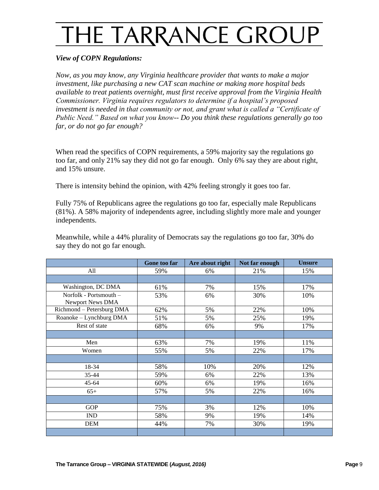#### *View of COPN Regulations:*

*Now, as you may know, any Virginia healthcare provider that wants to make a major investment, like purchasing a new CAT scan machine or making more hospital beds available to treat patients overnight, must first receive approval from the Virginia Health Commissioner. Virginia requires regulators to determine if a hospital's proposed investment is needed in that community or not, and grant what is called a "Certificate of Public Need." Based on what you know-- Do you think these regulations generally go too far, or do not go far enough?*

When read the specifics of COPN requirements, a 59% majority say the regulations go too far, and only 21% say they did not go far enough. Only 6% say they are about right, and 15% unsure.

There is intensity behind the opinion, with 42% feeling strongly it goes too far.

Fully 75% of Republicans agree the regulations go too far, especially male Republicans (81%). A 58% majority of independents agree, including slightly more male and younger independents.

Meanwhile, while a 44% plurality of Democrats say the regulations go too far, 30% do say they do not go far enough.

|                                            | Gone too far | Are about right | Not far enough | <b>Unsure</b> |
|--------------------------------------------|--------------|-----------------|----------------|---------------|
| All                                        | 59%          | 6%              | 21%            | 15%           |
|                                            |              |                 |                |               |
| Washington, DC DMA                         | 61%          | 7%              | 15%            | 17%           |
| Norfolk - Portsmouth -<br>Newport News DMA | 53%          | 6%              | 30%            | 10%           |
| Richmond - Petersburg DMA                  | 62%          | 5%              | 22%            | 10%           |
| Roanoke - Lynchburg DMA                    | 51%          | 5%              | 25%            | 19%           |
| Rest of state                              | 68%          | 6%              | 9%             | 17%           |
|                                            |              |                 |                |               |
| Men                                        | 63%          | 7%              | 19%            | 11%           |
| Women                                      | 55%          | 5%              | 22%            | 17%           |
|                                            |              |                 |                |               |
| 18-34                                      | 58%          | 10%             | 20%            | 12%           |
| 35-44                                      | 59%          | 6%              | 22%            | 13%           |
| $45 - 64$                                  | 60%          | 6%              | 19%            | 16%           |
| $65+$                                      | 57%          | 5%              | 22%            | 16%           |
|                                            |              |                 |                |               |
| <b>GOP</b>                                 | 75%          | 3%              | 12%            | 10%           |
| IND                                        | 58%          | 9%              | 19%            | 14%           |
| <b>DEM</b>                                 | 44%          | 7%              | 30%            | 19%           |
|                                            |              |                 |                |               |